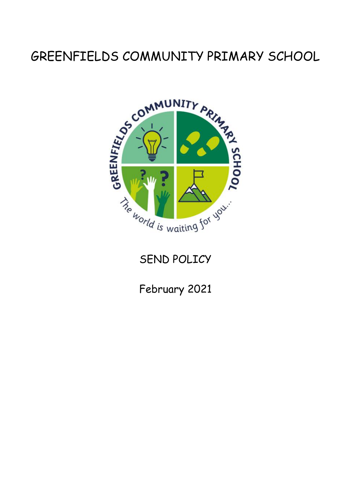# GREENFIELDS COMMUNITY PRIMARY SCHOOL



## SEND POLICY

February 2021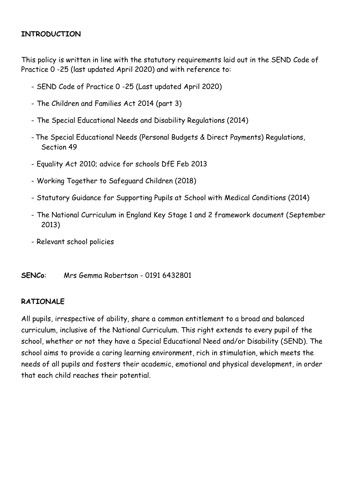#### **INTRODUCTION**

This policy is written in line with the statutory requirements laid out in the SEND Code of Practice 0 -25 (last updated April 2020) and with reference to:

- SEND Code of Practice 0 -25 (Last updated April 2020)
- The Children and Families Act 2014 (part 3)
- The Special Educational Needs and Disability Regulations (2014)
- The Special Educational Needs (Personal Budgets & Direct Payments) Regulations, Section 49
- Equality Act 2010; advice for schools DfE Feb 2013
- Working Together to Safeguard Children (2018)
- Statutory Guidance for Supporting Pupils at School with Medical Conditions (2014)
- The National Curriculum in England Key Stage 1 and 2 framework document (September 2013)
- Relevant school policies

**SENCo**: Mrs Gemma Robertson - 0191 6432801

#### **RATIONALE**

All pupils, irrespective of ability, share a common entitlement to a broad and balanced curriculum, inclusive of the National Curriculum. This right extends to every pupil of the school, whether or not they have a Special Educational Need and/or Disability (SEND). The school aims to provide a caring learning environment, rich in stimulation, which meets the needs of all pupils and fosters their academic, emotional and physical development, in order that each child reaches their potential.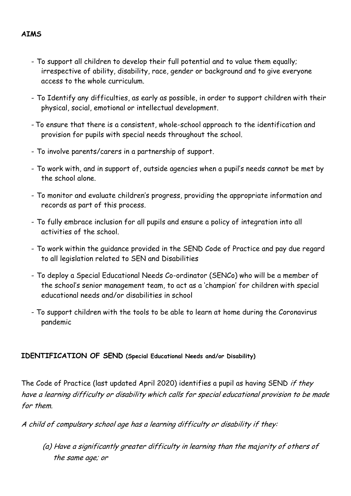- To support all children to develop their full potential and to value them equally; irrespective of ability, disability, race, gender or background and to give everyone access to the whole curriculum.
- To Identify any difficulties, as early as possible, in order to support children with their physical, social, emotional or intellectual development.
- To ensure that there is a consistent, whole-school approach to the identification and provision for pupils with special needs throughout the school.
- To involve parents/carers in a partnership of support.
- To work with, and in support of, outside agencies when a pupil's needs cannot be met by the school alone.
- To monitor and evaluate children's progress, providing the appropriate information and records as part of this process.
- To fully embrace inclusion for all pupils and ensure a policy of integration into all activities of the school.
- To work within the guidance provided in the SEND Code of Practice and pay due regard to all legislation related to SEN and Disabilities
- To deploy a Special Educational Needs Co-ordinator (SENCo) who will be a member of the school's senior management team, to act as a 'champion' for children with special educational needs and/or disabilities in school
- To support children with the tools to be able to learn at home during the Coronavirus pandemic

#### **IDENTIFICATION OF SEND (Special Educational Needs and/or Disability)**

The Code of Practice (last updated April 2020) identifies a pupil as having SEND if they have a learning difficulty or disability which calls for special educational provision to be made for them.

A child of compulsory school age has a learning difficulty or disability if they:

(a) Have a significantly greater difficulty in learning than the majority of others of the same age; or

## **AIMS**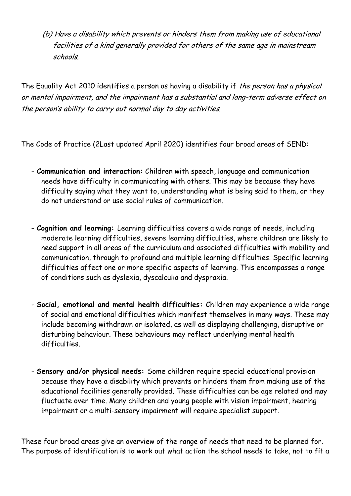(b) Have a disability which prevents or hinders them from making use of educational facilities of a kind generally provided for others of the same age in mainstream schools.

The Equality Act 2010 identifies a person as having a disability if the person has a physical or mental impairment, and the impairment has a substantial and long-term adverse effect on the person's ability to carry out normal day to day activities.

The Code of Practice (2Last updated April 2020) identifies four broad areas of SEND:

- **Communication and interaction:** Children with speech, language and communication needs have difficulty in communicating with others. This may be because they have difficulty saying what they want to, understanding what is being said to them, or they do not understand or use social rules of communication.
- **Cognition and learning:** Learning difficulties covers a wide range of needs, including moderate learning difficulties, severe learning difficulties, where children are likely to need support in all areas of the curriculum and associated difficulties with mobility and communication, through to profound and multiple learning difficulties. Specific learning difficulties affect one or more specific aspects of learning. This encompasses a range of conditions such as dyslexia, dyscalculia and dyspraxia.
- **Social, emotional and mental health difficulties:** Children may experience a wide range of social and emotional difficulties which manifest themselves in many ways. These may include becoming withdrawn or isolated, as well as displaying challenging, disruptive or disturbing behaviour. These behaviours may reflect underlying mental health difficulties.
- **Sensory and/or physical needs:** Some children require special educational provision because they have a disability which prevents or hinders them from making use of the educational facilities generally provided. These difficulties can be age related and may fluctuate over time. Many children and young people with vision impairment, hearing impairment or a multi-sensory impairment will require specialist support.

These four broad areas give an overview of the range of needs that need to be planned for. The purpose of identification is to work out what action the school needs to take, not to fit a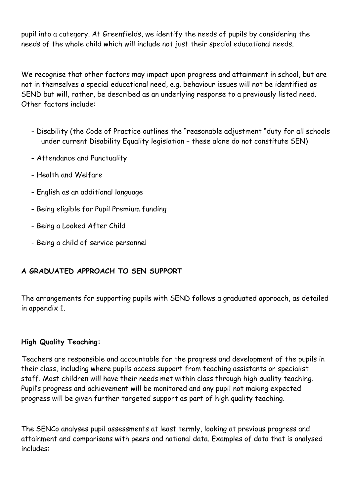pupil into a category. At Greenfields, we identify the needs of pupils by considering the needs of the whole child which will include not just their special educational needs.

We recognise that other factors may impact upon progress and attainment in school, but are not in themselves a special educational need, e.g. behaviour issues will not be identified as SEND but will, rather, be described as an underlying response to a previously listed need. Other factors include:

- Disability (the Code of Practice outlines the "reasonable adjustment "duty for all schools under current Disability Equality legislation – these alone do not constitute SEN)
- Attendance and Punctuality
- Health and Welfare
- English as an additional language
- Being eligible for Pupil Premium funding
- Being a Looked After Child
- Being a child of service personnel

## **A GRADUATED APPROACH TO SEN SUPPORT**

The arrangements for supporting pupils with SEND follows a graduated approach, as detailed in appendix 1.

#### **High Quality Teaching:**

Teachers are responsible and accountable for the progress and development of the pupils in their class, including where pupils access support from teaching assistants or specialist staff. Most children will have their needs met within class through high quality teaching. Pupil's progress and achievement will be monitored and any pupil not making expected progress will be given further targeted support as part of high quality teaching.

The SENCo analyses pupil assessments at least termly, looking at previous progress and attainment and comparisons with peers and national data. Examples of data that is analysed includes: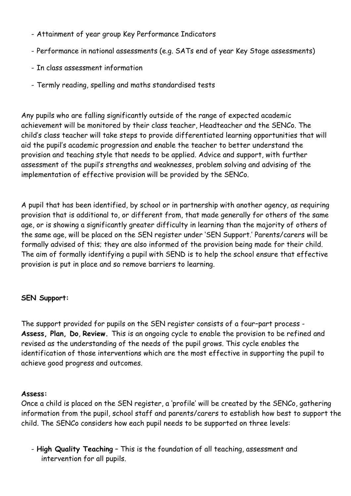- Attainment of year group Key Performance Indicators
- Performance in national assessments (e.g. SATs end of year Key Stage assessments)
- In class assessment information
- Termly reading, spelling and maths standardised tests

Any pupils who are falling significantly outside of the range of expected academic achievement will be monitored by their class teacher, Headteacher and the SENCo. The child's class teacher will take steps to provide differentiated learning opportunities that will aid the pupil's academic progression and enable the teacher to better understand the provision and teaching style that needs to be applied. Advice and support, with further assessment of the pupil's strengths and weaknesses, problem solving and advising of the implementation of effective provision will be provided by the SENCo.

A pupil that has been identified, by school or in partnership with another agency, as requiring provision that is additional to, or different from, that made generally for others of the same age, or is showing a significantly greater difficulty in learning than the majority of others of the same age, will be placed on the SEN register under 'SEN Support.' Parents/carers will be formally advised of this; they are also informed of the provision being made for their child. The aim of formally identifying a pupil with SEND is to help the school ensure that effective provision is put in place and so remove barriers to learning.

## **SEN Support:**

The support provided for pupils on the SEN register consists of a four–part process - **Assess, Plan, Do**, **Review.** This is an ongoing cycle to enable the provision to be refined and revised as the understanding of the needs of the pupil grows. This cycle enables the identification of those interventions which are the most effective in supporting the pupil to achieve good progress and outcomes.

#### **Assess:**

Once a child is placed on the SEN register, a 'profile' will be created by the SENCo, gathering information from the pupil, school staff and parents/carers to establish how best to support the child. The SENCo considers how each pupil needs to be supported on three levels:

- **High Quality Teaching** – This is the foundation of all teaching, assessment and intervention for all pupils.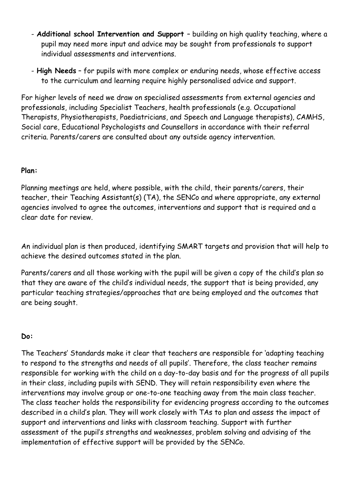- **Additional school Intervention and Support**  building on high quality teaching, where a pupil may need more input and advice may be sought from professionals to support individual assessments and interventions.
- **High Needs** for pupils with more complex or enduring needs, whose effective access to the curriculum and learning require highly personalised advice and support.

For higher levels of need we draw on specialised assessments from external agencies and professionals, including Specialist Teachers, health professionals (e.g. Occupational Therapists, Physiotherapists, Paediatricians, and Speech and Language therapists), CAMHS, Social care, Educational Psychologists and Counsellors in accordance with their referral criteria. Parents/carers are consulted about any outside agency intervention.

#### **Plan:**

Planning meetings are held, where possible, with the child, their parents/carers, their teacher, their Teaching Assistant(s) (TA), the SENCo and where appropriate, any external agencies involved to agree the outcomes, interventions and support that is required and a clear date for review.

An individual plan is then produced, identifying SMART targets and provision that will help to achieve the desired outcomes stated in the plan.

Parents/carers and all those working with the pupil will be given a copy of the child's plan so that they are aware of the child's individual needs, the support that is being provided, any particular teaching strategies/approaches that are being employed and the outcomes that are being sought.

#### **Do:**

The Teachers' Standards make it clear that teachers are responsible for 'adapting teaching to respond to the strengths and needs of all pupils'. Therefore, the class teacher remains responsible for working with the child on a day-to-day basis and for the progress of all pupils in their class, including pupils with SEND. They will retain responsibility even where the interventions may involve group or one-to-one teaching away from the main class teacher. The class teacher holds the responsibility for evidencing progress according to the outcomes described in a child's plan. They will work closely with TAs to plan and assess the impact of support and interventions and links with classroom teaching. Support with further assessment of the pupil's strengths and weaknesses, problem solving and advising of the implementation of effective support will be provided by the SENCo.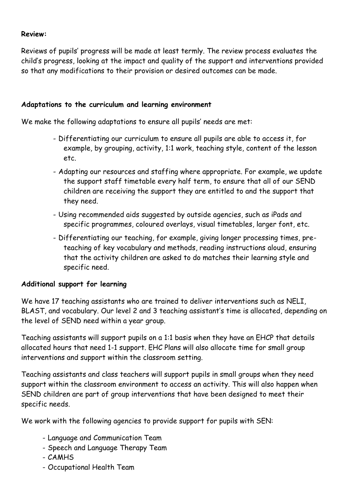#### **Review:**

Reviews of pupils' progress will be made at least termly. The review process evaluates the child's progress, looking at the impact and quality of the support and interventions provided so that any modifications to their provision or desired outcomes can be made.

#### **Adaptations to the curriculum and learning environment**

We make the following adaptations to ensure all pupils' needs are met:

- Differentiating our curriculum to ensure all pupils are able to access it, for example, by grouping, activity, 1:1 work, teaching style, content of the lesson etc.
- Adapting our resources and staffing where appropriate. For example, we update the support staff timetable every half term, to ensure that all of our SEND children are receiving the support they are entitled to and the support that they need.
- Using recommended aids suggested by outside agencies, such as iPads and specific programmes, coloured overlays, visual timetables, larger font, etc.
- Differentiating our teaching, for example, giving longer processing times, preteaching of key vocabulary and methods, reading instructions aloud, ensuring that the activity children are asked to do matches their learning style and specific need.

#### **Additional support for learning**

We have 17 teaching assistants who are trained to deliver interventions such as NELI, BLAST, and vocabulary. Our level 2 and 3 teaching assistant's time is allocated, depending on the level of SEND need within a year group.

Teaching assistants will support pupils on a 1:1 basis when they have an EHCP that details allocated hours that need 1-1 support. EHC Plans will also allocate time for small group interventions and support within the classroom setting.

Teaching assistants and class teachers will support pupils in small groups when they need support within the classroom environment to access an activity. This will also happen when SEND children are part of group interventions that have been designed to meet their specific needs.

We work with the following agencies to provide support for pupils with SEN:

- Language and Communication Team
- Speech and Language Therapy Team
- CAMHS
- Occupational Health Team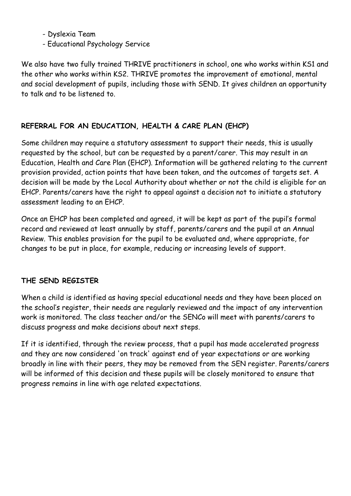- Dyslexia Team
- Educational Psychology Service

We also have two fully trained THRIVE practitioners in school, one who works within KS1 and the other who works within KS2. THRIVE promotes the improvement of emotional, mental and social development of pupils, including those with SEND. It gives children an opportunity to talk and to be listened to.

## **REFERRAL FOR AN EDUCATION, HEALTH & CARE PLAN (EHCP)**

Some children may require a statutory assessment to support their needs, this is usually requested by the school, but can be requested by a parent/carer. This may result in an Education, Health and Care Plan (EHCP). Information will be gathered relating to the current provision provided, action points that have been taken, and the outcomes of targets set. A decision will be made by the Local Authority about whether or not the child is eligible for an EHCP. Parents/carers have the right to appeal against a decision not to initiate a statutory assessment leading to an EHCP.

Once an EHCP has been completed and agreed, it will be kept as part of the pupil's formal record and reviewed at least annually by staff, parents/carers and the pupil at an Annual Review. This enables provision for the pupil to be evaluated and, where appropriate, for changes to be put in place, for example, reducing or increasing levels of support.

## **THE SEND REGISTER**

When a child is identified as having special educational needs and they have been placed on the school's register, their needs are regularly reviewed and the impact of any intervention work is monitored. The class teacher and/or the SENCo will meet with parents/carers to discuss progress and make decisions about next steps.

If it is identified, through the review process, that a pupil has made accelerated progress and they are now considered 'on track' against end of year expectations or are working broadly in line with their peers, they may be removed from the SEN register. Parents/carers will be informed of this decision and these pupils will be closely monitored to ensure that progress remains in line with age related expectations.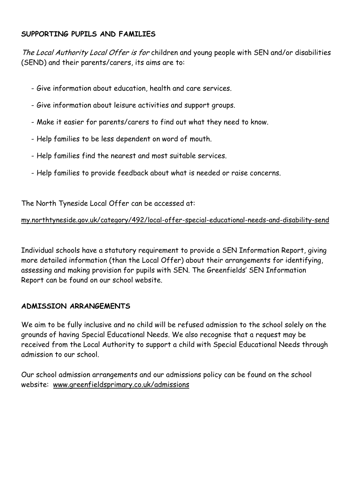#### **SUPPORTING PUPILS AND FAMILIES**

The Local Authority Local Offer is for children and young people with SEN and/or disabilities (SEND) and their parents/carers, its aims are to:

- Give information about education, health and care services.
- Give information about leisure activities and support groups.
- Make it easier for parents/carers to find out what they need to know.
- Help families to be less dependent on word of mouth.
- Help families find the nearest and most suitable services.
- Help families to provide feedback about what is needed or raise concerns.

The North Tyneside Local Offer can be accessed at:

#### [my.northtyneside.gov.uk/category/492/local-offer-special-educational-needs-and-disability-send](http://my.northtyneside.gov.uk/category/492/local-offer-special-educational-needs-and-disability-send)

Individual schools have a statutory requirement to provide a SEN Information Report, giving more detailed information (than the Local Offer) about their arrangements for identifying, assessing and making provision for pupils with SEN. The Greenfields' SEN Information Report can be found on our school website.

#### **ADMISSION ARRANGEMENTS**

We aim to be fully inclusive and no child will be refused admission to the school solely on the grounds of having Special Educational Needs. We also recognise that a request may be received from the Local Authority to support a child with Special Educational Needs through admission to our school.

Our school admission arrangements and our admissions policy can be found on the school website: [www.greenfieldsprimary.co.uk/admissions](http://www.greenfieldsprimary.co.uk/admissions/)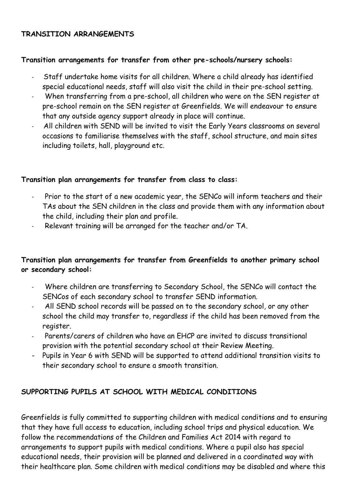#### **TRANSITION ARRANGEMENTS**

#### **Transition arrangements for transfer from other pre-schools/nursery schools:**

- Staff undertake home visits for all children. Where a child already has identified special educational needs, staff will also visit the child in their pre-school setting.
- When transferring from a pre-school, all children who were on the SEN register at pre-school remain on the SEN register at Greenfields. We will endeavour to ensure that any outside agency support already in place will continue.
- All children with SEND will be invited to visit the Early Years classrooms on several occasions to familiarise themselves with the staff, school structure, and main sites including toilets, hall, playground etc.

#### **Transition plan arrangements for transfer from class to class:**

- Prior to the start of a new academic year, the SENCo will inform teachers and their TAs about the SEN children in the class and provide them with any information about the child, including their plan and profile.
- Relevant training will be arranged for the teacher and/or TA.

#### **Transition plan arrangements for transfer from Greenfields to another primary school or secondary school:**

- Where children are transferring to Secondary School, the SENCo will contact the SENCos of each secondary school to transfer SEND information.
- All SEND school records will be passed on to the secondary school, or any other school the child may transfer to, regardless if the child has been removed from the register.
- Parents/carers of children who have an EHCP are invited to discuss transitional provision with the potential secondary school at their Review Meeting.
- Pupils in Year 6 with SEND will be supported to attend additional transition visits to their secondary school to ensure a smooth transition.

#### **SUPPORTING PUPILS AT SCHOOL WITH MEDICAL CONDITIONS**

Greenfields is fully committed to supporting children with medical conditions and to ensuring that they have full access to education, including school trips and physical education. We follow the recommendations of the Children and Families Act 2014 with regard to arrangements to support pupils with medical conditions. Where a pupil also has special educational needs, their provision will be planned and delivered in a coordinated way with their healthcare plan. Some children with medical conditions may be disabled and where this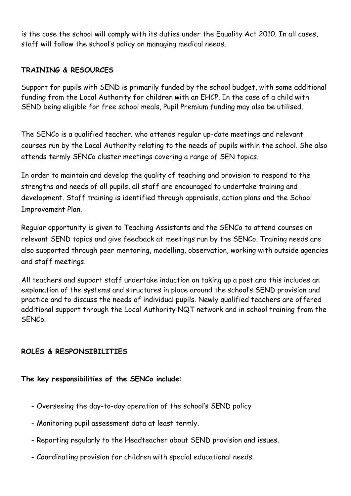is the case the school will comply with its duties under the Equality Act 2010. In all cases, staff will follow the school's policy on managing medical needs.

#### **TRAINING & RESOURCES**

Support for pupils with SEND is primarily funded by the school budget, with some additional funding from the Local Authority for children with an EHCP. In the case of a child with SEND being eligible for free school meals, Pupil Premium funding may also be utilised.

The SENCo is a qualified teacher; who attends regular up-date meetings and relevant courses run by the Local Authority relating to the needs of pupils within the school. She also attends termly SENCo cluster meetings covering a range of SEN topics.

In order to maintain and develop the quality of teaching and provision to respond to the strengths and needs of all pupils, all staff are encouraged to undertake training and development. Staff training is identified through appraisals, action plans and the School Improvement Plan.

Regular opportunity is given to Teaching Assistants and the SENCo to attend courses on relevant SEND topics and give feedback at meetings run by the SENCo. Training needs are also supported through peer mentoring, modelling, observation, working with outside agencies and staff meetings.

All teachers and support staff undertake induction on taking up a post and this includes an explanation of the systems and structures in place around the school's SEND provision and practice and to discuss the needs of individual pupils. Newly qualified teachers are offered additional support through the Local Authority NQT network and in school training from the SENCo.

## **ROLES & RESPONSIBILITIES**

#### **The key responsibilities of the SENCo include:**

- Overseeing the day-to-day operation of the school's SEND policy
- Monitoring pupil assessment data at least termly.
- Reporting regularly to the Headteacher about SEND provision and issues.
- Coordinating provision for children with special educational needs.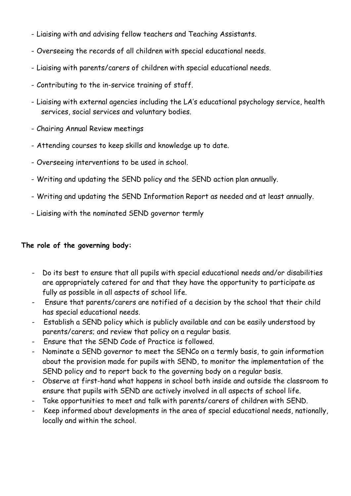- Liaising with and advising fellow teachers and Teaching Assistants.
- Overseeing the records of all children with special educational needs.
- Liaising with parents/carers of children with special educational needs.
- Contributing to the in-service training of staff.
- Liaising with external agencies including the LA's educational psychology service, health services, social services and voluntary bodies.
- Chairing Annual Review meetings
- Attending courses to keep skills and knowledge up to date.
- Overseeing interventions to be used in school.
- Writing and updating the SEND policy and the SEND action plan annually.
- Writing and updating the SEND Information Report as needed and at least annually.
- Liaising with the nominated SEND governor termly

## **The role of the governing body:**

- Do its best to ensure that all pupils with special educational needs and/or disabilities are appropriately catered for and that they have the opportunity to participate as fully as possible in all aspects of school life.
- Ensure that parents/carers are notified of a decision by the school that their child has special educational needs.
- Establish a SEND policy which is publicly available and can be easily understood by parents/carers; and review that policy on a regular basis.
- Ensure that the SEND Code of Practice is followed.
- Nominate a SEND governor to meet the SENCo on a termly basis, to gain information about the provision made for pupils with SEND, to monitor the implementation of the SEND policy and to report back to the governing body on a regular basis.
- Observe at first-hand what happens in school both inside and outside the classroom to ensure that pupils with SEND are actively involved in all aspects of school life.
- Take opportunities to meet and talk with parents/carers of children with SEND.
- Keep informed about developments in the area of special educational needs, nationally, locally and within the school.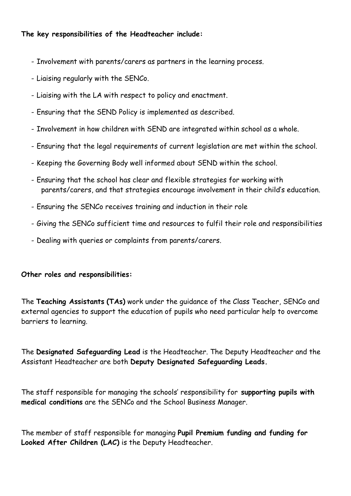#### **The key responsibilities of the Headteacher include:**

- Involvement with parents/carers as partners in the learning process.
- Liaising regularly with the SENCo.
- Liaising with the LA with respect to policy and enactment.
- Ensuring that the SEND Policy is implemented as described.
- Involvement in how children with SEND are integrated within school as a whole.
- Ensuring that the legal requirements of current legislation are met within the school.
- Keeping the Governing Body well informed about SEND within the school.
- Ensuring that the school has clear and flexible strategies for working with parents/carers, and that strategies encourage involvement in their child's education.
- Ensuring the SENCo receives training and induction in their role
- Giving the SENCo sufficient time and resources to fulfil their role and responsibilities
- Dealing with queries or complaints from parents/carers.

#### **Other roles and responsibilities:**

The **Teaching Assistants (TAs)** work under the guidance of the Class Teacher, SENCo and external agencies to support the education of pupils who need particular help to overcome barriers to learning.

The **Designated Safeguarding Lead** is the Headteacher. The Deputy Headteacher and the Assistant Headteacher are both **Deputy Designated Safeguarding Leads.**

The staff responsible for managing the schools' responsibility for **supporting pupils with medical conditions** are the SENCo and the School Business Manager.

The member of staff responsible for managing **Pupil Premium funding and funding for Looked After Children (LAC)** is the Deputy Headteacher.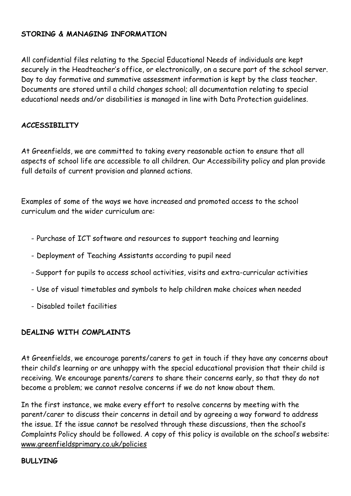#### **STORING & MANAGING INFORMATION**

All confidential files relating to the Special Educational Needs of individuals are kept securely in the Headteacher's office, or electronically, on a secure part of the school server. Day to day formative and summative assessment information is kept by the class teacher. Documents are stored until a child changes school; all documentation relating to special educational needs and/or disabilities is managed in line with Data Protection guidelines.

#### **ACCESSIBILITY**

At Greenfields, we are committed to taking every reasonable action to ensure that all aspects of school life are accessible to all children. Our Accessibility policy and plan provide full details of current provision and planned actions.

Examples of some of the ways we have increased and promoted access to the school curriculum and the wider curriculum are:

- Purchase of ICT software and resources to support teaching and learning
- Deployment of Teaching Assistants according to pupil need
- Support for pupils to access school activities, visits and extra-curricular activities
- Use of visual timetables and symbols to help children make choices when needed
- Disabled toilet facilities

## **DEALING WITH COMPLAINTS**

At Greenfields, we encourage parents/carers to get in touch if they have any concerns about their child's learning or are unhappy with the special educational provision that their child is receiving. We encourage parents/carers to share their concerns early, so that they do not become a problem; we cannot resolve concerns if we do not know about them.

In the first instance, we make every effort to resolve concerns by meeting with the parent/carer to discuss their concerns in detail and by agreeing a way forward to address the issue. If the issue cannot be resolved through these discussions, then the school's Complaints Policy should be followed. A copy of this policy is available on the school's website[:](http://www.greenfieldsprimary.co.uk/policies/) [www.greenfieldsprimary.co.uk/policies](http://www.greenfieldsprimary.co.uk/policies/)

#### **BULLYING**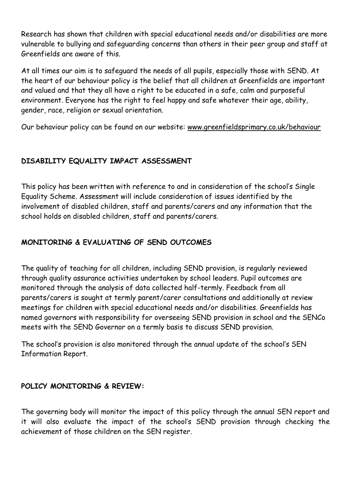Research has shown that children with special educational needs and/or disabilities are more vulnerable to bullying and safeguarding concerns than others in their peer group and staff at Greenfields are aware of this.

At all times our aim is to safeguard the needs of all pupils, especially those with SEND. At the heart of our behaviour policy is the belief that all children at Greenfields are important and valued and that they all have a right to be educated in a safe, calm and purposeful environment. Everyone has the right to feel happy and safe whatever their age, ability, gender, race, religion or sexual orientation.

Our behaviour policy can be found on our website[:](http://www.greenfieldsprimary.co.uk/behaviour) [www.greenfieldsprimary.co.uk/behaviour](http://www.greenfieldsprimary.co.uk/behaviour)

## **DISABILITY EQUALITY IMPACT ASSESSMENT**

This policy has been written with reference to and in consideration of the school's Single Equality Scheme. Assessment will include consideration of issues identified by the involvement of disabled children, staff and parents/carers and any information that the school holds on disabled children, staff and parents/carers.

## **MONITORING & EVALUATING OF SEND OUTCOMES**

The quality of teaching for all children, including SEND provision, is regularly reviewed through quality assurance activities undertaken by school leaders. Pupil outcomes are monitored through the analysis of data collected half-termly. Feedback from all parents/carers is sought at termly parent/carer consultations and additionally at review meetings for children with special educational needs and/or disabilities. Greenfields has named governors with responsibility for overseeing SEND provision in school and the SENCo meets with the SEND Governor on a termly basis to discuss SEND provision.

The school's provision is also monitored through the annual update of the school's SEN Information Report.

## **POLICY MONITORING & REVIEW:**

The governing body will monitor the impact of this policy through the annual SEN report and it will also evaluate the impact of the school's SEND provision through checking the achievement of those children on the SEN register.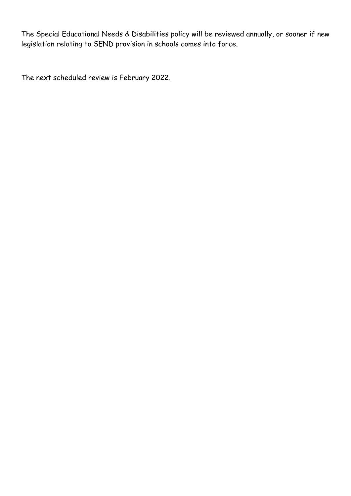The Special Educational Needs & Disabilities policy will be reviewed annually, or sooner if new legislation relating to SEND provision in schools comes into force.

The next scheduled review is February 2022.